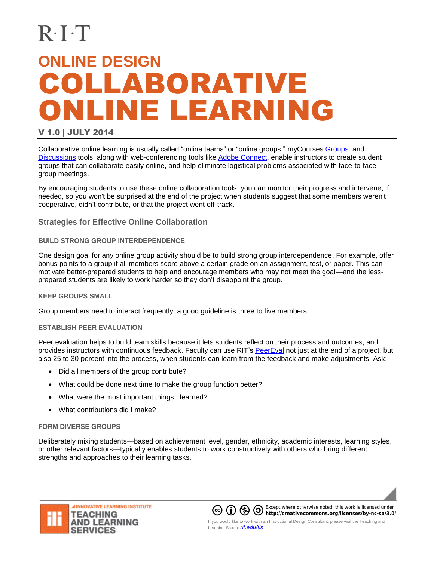# **ONLINE DESIGN** COLLABORATIVE ONLINE LEARNING

### V 1.0 | JULY 2014

Collaborative online learning is usually called "online teams" or "online groups." myCourses [Groups](https://wiki.rit.edu/display/myCoursesHR/Groups+Tool) and [Discussions](https://wiki.rit.edu/display/myCoursesHR/Discussions+Tool) tools, along with web-conferencing tools like [Adobe Connect,](https://wiki.rit.edu/display/adobeconnect/Home) enable instructors to create student groups that can collaborate easily online, and help eliminate logistical problems associated with face-to-face group meetings.

By encouraging students to use these online collaboration tools, you can monitor their progress and intervene, if needed, so you won't be surprised at the end of the project when students suggest that some members weren't cooperative, didn't contribute, or that the project went off-track.

# **Strategies for Effective Online Collaboration**

#### **BUILD STRONG GROUP INTERDEPENDENCE**

One design goal for any online group activity should be to build strong group interdependence. For example, offer bonus points to a group if all members score above a certain grade on an assignment, test, or paper. This can motivate better-prepared students to help and encourage members who may not meet the goal—and the lessprepared students are likely to work harder so they don't disappoint the group.

#### **KEEP GROUPS SMALL**

Group members need to interact frequently; a good guideline is three to five members.

#### **ESTABLISH PEER EVALUATION**

Peer evaluation helps to build team skills because it lets students reflect on their process and outcomes, and provides instructors with continuous feedback. Faculty can use RIT's [PeerEval](https://wiki.rit.edu/display/PeerEval/Home) not just at the end of a project, but also 25 to 30 percent into the process, when students can learn from the feedback and make adjustments. Ask:

- Did all members of the group contribute?
- What could be done next time to make the group function better?
- What were the most important things I learned?
- What contributions did I make?

# **FORM DIVERSE GROUPS**

Deliberately mixing students—based on achievement level, gender, ethnicity, academic interests, learning styles, or other relevant factors—typically enables students to work constructively with others who bring different strengths and approaches to their learning tasks.





Except where otherwise noted, this work is licensed under **If you would like to work with an Instructional Design Consultant, please visit the Teaching and If you would like to work with an Instructional Design Consultant, please visit the Teaching and**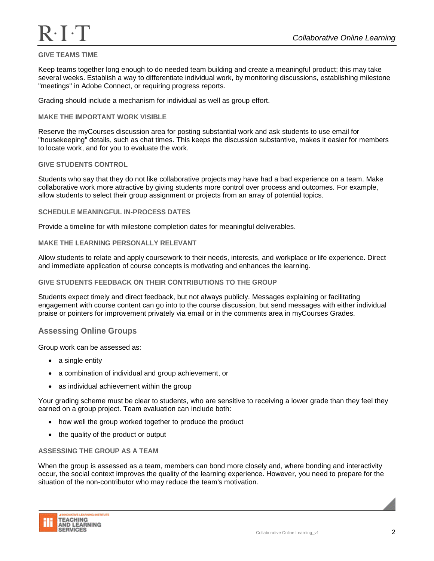# **GIVE TEAMS TIME**

Keep teams together long enough to do needed team building and create a meaningful product; this may take several weeks. Establish a way to differentiate individual work, by monitoring discussions, establishing milestone "meetings" in Adobe Connect, or requiring progress reports.

Grading should include a mechanism for individual as well as group effort.

#### **MAKE THE IMPORTANT WORK VISIBLE**

Reserve the myCourses discussion area for posting substantial work and ask students to use email for "housekeeping" details, such as chat times. This keeps the discussion substantive, makes it easier for members to locate work, and for you to evaluate the work.

#### **GIVE STUDENTS CONTROL**

Students who say that they do not like collaborative projects may have had a bad experience on a team. Make collaborative work more attractive by giving students more control over process and outcomes. For example, allow students to select their group assignment or projects from an array of potential topics.

#### **SCHEDULE MEANINGFUL IN-PROCESS DATES**

Provide a timeline for with milestone completion dates for meaningful deliverables.

#### **MAKE THE LEARNING PERSONALLY RELEVANT**

Allow students to relate and apply coursework to their needs, interests, and workplace or life experience. Direct and immediate application of course concepts is motivating and enhances the learning.

#### **GIVE STUDENTS FEEDBACK ON THEIR CONTRIBUTIONS TO THE GROUP**

Students expect timely and direct feedback, but not always publicly. Messages explaining or facilitating engagement with course content can go into to the course discussion, but send messages with either individual praise or pointers for improvement privately via email or in the comments area in myCourses Grades.

# **Assessing Online Groups**

Group work can be assessed as:

- a single entity
- a combination of individual and group achievement, or
- as individual achievement within the group

Your grading scheme must be clear to students, who are sensitive to receiving a lower grade than they feel they earned on a group project. Team evaluation can include both:

- how well the group worked together to produce the product
- the quality of the product or output

#### **ASSESSING THE GROUP AS A TEAM**

When the group is assessed as a team, members can bond more closely and, where bonding and interactivity occur, the social context improves the quality of the learning experience. However, you need to prepare for the situation of the non-contributor who may reduce the team's motivation.